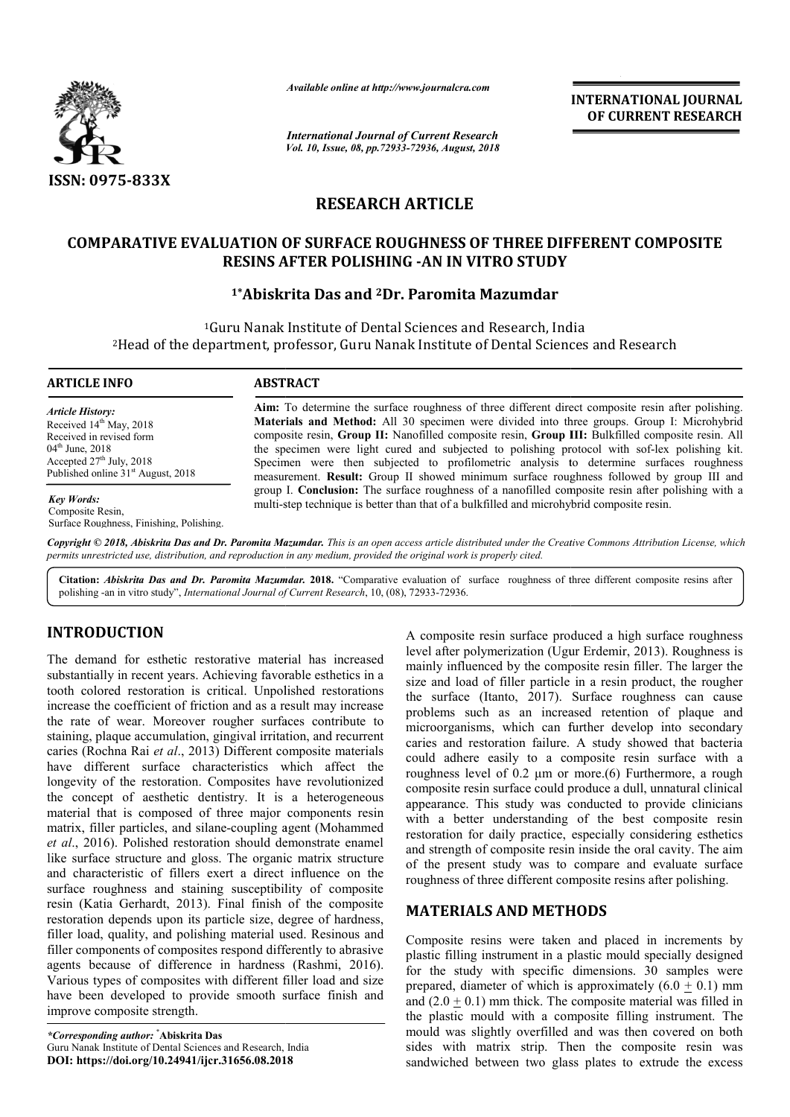

*Available online at http://www.journalcra.com*

*International Journal of Current Research Vol. 10, Issue, 08, pp.72933-72936, August, 2018* **INTERNATIONAL JOURNAL OF CURRENT RESEARCH**

# **RESEARCH ARTICLE**

### **COMPARATIVE EVALUATION OF SURFACE ROUGHNESS OF THREE DIFFERENT COMPOSITE OF THREE RESINS AFTER POLISHING -AN IN VITRO STUDY**

## **1\*Abiskrita Das Abiskrita and 2Dr. Paromita Mazumdar**

<sup>1</sup>Guru Nanak Institute of Dental Sciences and Research, India <sup>1</sup>Guru Nanak Institute of Dental Sciences and Research, India<br>Head of the department, professor, Guru Nanak Institute of Dental Sciences and Research<sup>2</sup>

#### **ARTICLE INFO ABSTRACT**

*Article History:* Received 14<sup>th</sup> May, 2018 Received in revised form 04<sup>th</sup> June, 2018 Accepted  $27<sup>th</sup>$  July,  $2018$ Published online  $31<sup>st</sup>$  August, 2018

*Key Words:*

Composite Resin,

Surface Roughness, Finishing, Polishing.

**Aim:** To determine the surface roughness of three different direct composite resin after polishing. Aim: To determine the surface roughness of three different direct composite resin after polishing.<br>Materials and Method: All 30 specimen were divided into three groups. Group I: Microhybrid composite resin, **Group II:** Nanofilled composite resin, **Group III:** Bulkfilled composite resin. All the specimen were light cured and subjected to polishing protocol with sof-lex polishing kit. Specimen were then subjected to profilometric analysis to determine surfaces roughness measurement. **Result:** Group II showed minimum surface roughness followed by group III and group I. **Conclusion:** The surface roughness of a nanofilled composite resin after polishing with a measurement. **Result:** Group II showed minimum surface roughness followed by group group I. Conclusion: The surface roughness of a nanofilled composite resin after polishing multi-step technique is better than that of a bu

Copyright © 2018, Abiskrita Das and Dr. Paromita Mazumdar. This is an open access article distributed under the Creative Commons Attribution License, which permits unrestricted use, distribution, and reproduction in any medium, provided the original work is properly cited.

Citation: *Abiskrita Das and Dr. Paromita Mazumdar.* 2018. "Comparative evaluation of surface roughness of three different composite resins after polishing -an in vitro study", *International Journal of Current Research* , 10, (08), 72933-72936.

#### **INTRODUCTION**

The demand for esthetic restorative material has increased substantially in recent years. Achieving favorable esthetics in a tooth colored restoration is critical. Unpolished restorations increase the coefficient of friction and as a result may increase the rate of wear. Moreover rougher surfaces contribute to staining, plaque accumulation, gingival irritation, and recurrent caries (Rochna Rai *et al*., 2013) Different composite materials have different surface characteristics which affect the longevity of the restoration. Composites have revolutionized the concept of aesthetic dentistry. It is a heterogeneous material that is composed of three major components resin staining, plaque accumulation, gingival irritation, and recurrent caries (Rochna Rai *et al.*, 2013) Different composite materials have different surface characteristics which affect the longevity of the restoration. Compo et al., 2016). Polished restoration should demonstrate enamel like surface structure and gloss. The organic matrix structure and characteristic of fillers exert a direct influence on the surface roughness and staining susceptibility of composite resin (Katia Gerhardt, 2013). Final finish of the composite restoration depends upon its particle size, degree of hardness, filler load, quality, and polishing material used. Resinous and filler components of composites respond differently to abrasive surface roughness and staining susceptibility of composite resin (Katia Gerhardt, 2013). Final finish of the composite restoration depends upon its particle size, degree of hardness, filler load, quality, and polishing mat Various types of composites with different filler load and size have been developed to provide smooth surface finish and improve composite strength.

*\*Corresponding author:* **\* Abiskrita Das** Guru Nanak Institute of Dental Sciences and Research, India **DOI: https://doi.org/10.24941/ijcr.31656.08.2018**

material has increased a high surface produced a high surface rough<br>g favorable esthetics in a lively after polymerization (Ugur Erdemir, 2013). Roughng favorable esthetics in a singulation composite resin filler. The lar level after polymerization (Ugur Erdemir, 2013). Roughness is mainly influenced by the composite resin filler. The larger the mainly influenced by the composite resin filler. The larger the size and load of filler particle in a resin product, the rougher the surface (Itanto, 2017). . Surface roughness can cause problems such as an increased retention of plaque and microorganisms, which can further develop into secondary caries and restoration failure. A study showed that bacteria could adhere easily to a composite resin surface with a roughness level of 0.2 μm or more. composite resin surface could produce a dull, unnatural clinical appearance. This study was conducted to provide clinicians with a better understanding of the best composite resin restoration for daily practice, especially considering esthetics composite resin surface could produce a dull, unnatural clinical<br>appearance. This study was conducted to provide clinicians<br>with a better understanding of the best composite resin<br>restoration for daily practice, especially of the present study was to compare and evaluate surface of the present study was to compare and evaluate surfaceuphness of three different composite resins after polishing. A composite resin surface produced a high surface roughness blems such as an increased retention of plaque and roorganisms, which can further develop into secondary es and restoration failure. A study showed that bacteria ld adhere easily to a composite resin surface with a ghness **EXERVATIONAL JOURNAL CONTROL CONFORMED CONFORMED (CONFORMED CONFORMED CONFORMED (CONFORMED CONFORMED CONFORMED (GENEEM CHARGE OF THREE DIFFERENT COMPOSITE G-AN IN VITRO STUDY Parametic composite treats and Research and R** 

### **MATERIALS AND METHOD METHODS**

Composite resins were taken and placed in increments by Composite resins were taken and placed in increments by plastic filling instrument in a plastic mould specially designed for the study with specific dimensions. 30 samples were for the study with specific dimensions. 30 samples were prepared, diameter of which is approximately  $(6.0 \pm 0.1)$  mm and  $(2.0 + 0.1)$  mm thick. The composite material was filled in and  $(2.0 \pm 0.1)$  mm thick. The composite material was filled in the plastic mould with a composite filling instrument. The mould was slightly overfilled and was then covered on both sides with matrix strip. Then the composite resin was sandwiched between two glass plates to extrude the excess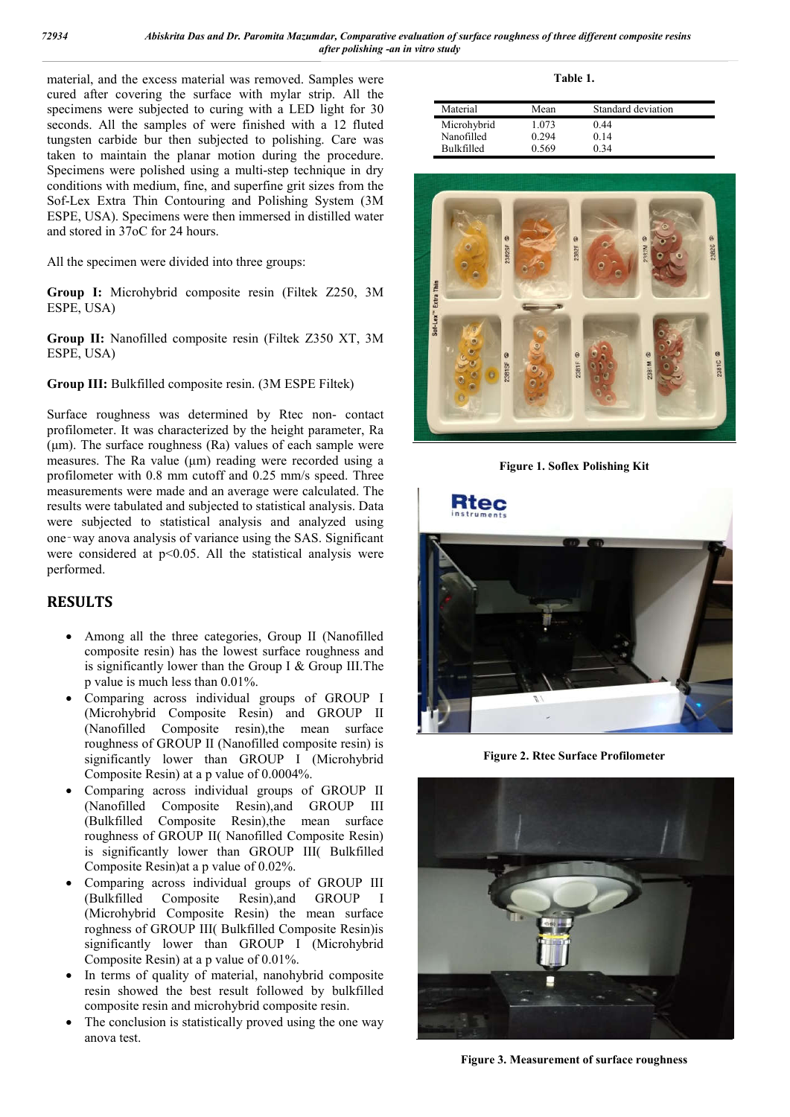material, and the excess material was removed. Samples were cured after covering the surface with mylar strip. All the specimens were subjected to curing with a LED light for 30 seconds. All the samples of were finished with a 12 fluted tungsten carbide bur then subjected to polishing. Care was taken to maintain the planar motion during the procedure. Specimens were polished using a multi-step technique in dry conditions with medium, fine, and superfine grit sizes from the Sof-Lex Extra Thin Contouring and Polishing System (3M ESPE, USA). Specimens were then immersed in distilled water and stored in 37oC for 24 hours.

All the specimen were divided into three groups:

**Group I:** Microhybrid composite resin (Filtek Z250, 3M ESPE, USA)

**Group II:** Nanofilled composite resin (Filtek Z350 XT, 3M ESPE, USA)

**Group III:** Bulkfilled composite resin. (3M ESPE Filtek)

Surface roughness was determined by Rtec non- contact profilometer. It was characterized by the height parameter, Ra (μm). The surface roughness (Ra) values of each sample were measures. The Ra value (μm) reading were recorded using a profilometer with 0.8 mm cutoff and 0.25 mm/s speed. Three measurements were made and an average were calculated. The results were tabulated and subjected to statistical analysis. Data were subjected to statistical analysis and analyzed using one‑way anova analysis of variance using the SAS. Significant were considered at p<0.05. All the statistical analysis were performed.

## **RESULTS**

- Among all the three categories, Group II (Nanofilled composite resin) has the lowest surface roughness and is significantly lower than the Group I  $&$  Group III. The p value is much less than 0.01%.
- Comparing across individual groups of GROUP I (Microhybrid Composite Resin) and GROUP II (Nanofilled Composite resin),the mean surface roughness of GROUP II (Nanofilled composite resin) is significantly lower than GROUP I (Microhybrid Composite Resin) at a p value of 0.0004%.
- Comparing across individual groups of GROUP II (Nanofilled Composite Resin),and GROUP III (Bulkfilled Composite Resin),the mean surface roughness of GROUP II( Nanofilled Composite Resin) is significantly lower than GROUP III( Bulkfilled Composite Resin)at a p value of 0.02%.
- Comparing across individual groups of GROUP III (Bulkfilled Composite Resin),and GROUP I (Microhybrid Composite Resin) the mean surface roghness of GROUP III( Bulkfilled Composite Resin)is significantly lower than GROUP I (Microhybrid Composite Resin) at a p value of 0.01%.
- In terms of quality of material, nanohybrid composite resin showed the best result followed by bulkfilled composite resin and microhybrid composite resin.
- The conclusion is statistically proved using the one way anova test.

**Table 1.**

| Material          | Mean  | Standard deviation |  |
|-------------------|-------|--------------------|--|
| Microhybrid       | 1.073 | 0.44               |  |
| Nanofilled        | 0.294 | 0.14               |  |
| <b>Bulkfilled</b> | 0.569 | 0 34               |  |



**Figure 1. Soflex Polishing Kit**



**Figure 2. Rtec Surface Profilometer**



**Figure 3. Measurement of surface roughness**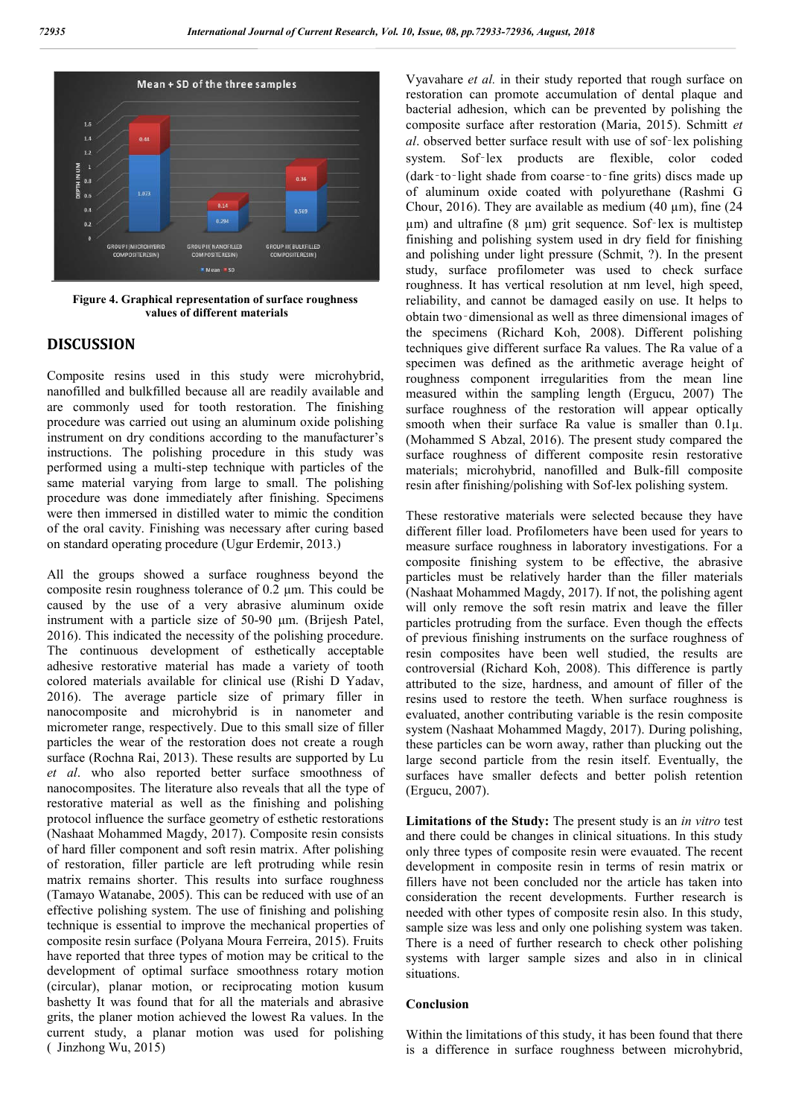

**Figure 4. Graphical representation of surface roughness values of different materials**

### **DISCUSSION**

Composite resins used in this study were microhybrid, nanofilled and bulkfilled because all are readily available and are commonly used for tooth restoration. The finishing procedure was carried out using an aluminum oxide polishing instrument on dry conditions according to the manufacturer's instructions. The polishing procedure in this study was performed using a multi-step technique with particles of the same material varying from large to small. The polishing procedure was done immediately after finishing. Specimens were then immersed in distilled water to mimic the condition of the oral cavity. Finishing was necessary after curing based on standard operating procedure (Ugur Erdemir, 2013.)

All the groups showed a surface roughness beyond the composite resin roughness tolerance of 0.2 μm. This could be caused by the use of a very abrasive aluminum oxide instrument with a particle size of 50-90 μm. (Brijesh Patel, 2016). This indicated the necessity of the polishing procedure. The continuous development of esthetically acceptable adhesive restorative material has made a variety of tooth colored materials available for clinical use (Rishi D Yadav, 2016). The average particle size of primary filler in nanocomposite and microhybrid is in nanometer and micrometer range, respectively. Due to this small size of filler particles the wear of the restoration does not create a rough surface (Rochna Rai, 2013). These results are supported by Lu *et al*. who also reported better surface smoothness of nanocomposites. The literature also reveals that all the type of restorative material as well as the finishing and polishing protocol influence the surface geometry of esthetic restorations (Nashaat Mohammed Magdy, 2017). Composite resin consists of hard filler component and soft resin matrix. After polishing of restoration, filler particle are left protruding while resin matrix remains shorter. This results into surface roughness (Tamayo Watanabe, 2005). This can be reduced with use of an effective polishing system. The use of finishing and polishing technique is essential to improve the mechanical properties of composite resin surface (Polyana Moura Ferreira, 2015). Fruits have reported that three types of motion may be critical to the development of optimal surface smoothness rotary motion (circular), planar motion, or reciprocating motion kusum bashetty It was found that for all the materials and abrasive grits, the planer motion achieved the lowest Ra values. In the current study, a planar motion was used for polishing  $($  Jinzhong Wu, 2015)

Vyavahare *et al.* in their study reported that rough surface on restoration can promote accumulation of dental plaque and bacterial adhesion, which can be prevented by polishing the composite surface after restoration (Maria, 2015). Schmitt *et al*. observed better surface result with use of sof‑lex polishing system. Sof-lex products are flexible, color coded (dark‑to‑light shade from coarse‑to‑fine grits) discs made up of aluminum oxide coated with polyurethane (Rashmi G Chour, 2016). They are available as medium  $(40 \mu m)$ , fine  $(24 \mu m)$ um) and ultrafine (8 um) grit sequence. Sof-lex is multistep finishing and polishing system used in dry field for finishing and polishing under light pressure (Schmit, ?). In the present study, surface profilometer was used to check surface roughness. It has vertical resolution at nm level, high speed, reliability, and cannot be damaged easily on use. It helps to obtain two‑dimensional as well as three dimensional images of the specimens (Richard Koh, 2008). Different polishing techniques give different surface Ra values. The Ra value of a specimen was defined as the arithmetic average height of roughness component irregularities from the mean line measured within the sampling length (Ergucu, 2007) The surface roughness of the restoration will appear optically smooth when their surface Ra value is smaller than  $0.1\mu$ . (Mohammed S Abzal, 2016). The present study compared the surface roughness of different composite resin restorative materials; microhybrid, nanofilled and Bulk-fill composite resin after finishing/polishing with Sof-lex polishing system.

These restorative materials were selected because they have different filler load. Profilometers have been used for years to measure surface roughness in laboratory investigations. For a composite finishing system to be effective, the abrasive particles must be relatively harder than the filler materials (Nashaat Mohammed Magdy, 2017). If not, the polishing agent will only remove the soft resin matrix and leave the filler particles protruding from the surface. Even though the effects of previous finishing instruments on the surface roughness of resin composites have been well studied, the results are controversial (Richard Koh, 2008). This difference is partly attributed to the size, hardness, and amount of filler of the resins used to restore the teeth. When surface roughness is evaluated, another contributing variable is the resin composite system (Nashaat Mohammed Magdy, 2017). During polishing, these particles can be worn away, rather than plucking out the large second particle from the resin itself. Eventually, the surfaces have smaller defects and better polish retention (Ergucu, 2007).

**Limitations of the Study:** The present study is an *in vitro* test and there could be changes in clinical situations. In this study only three types of composite resin were evauated. The recent development in composite resin in terms of resin matrix or fillers have not been concluded nor the article has taken into consideration the recent developments. Further research is needed with other types of composite resin also. In this study, sample size was less and only one polishing system was taken. There is a need of further research to check other polishing systems with larger sample sizes and also in in clinical situations.

#### **Conclusion**

Within the limitations of this study, it has been found that there is a difference in surface roughness between microhybrid,